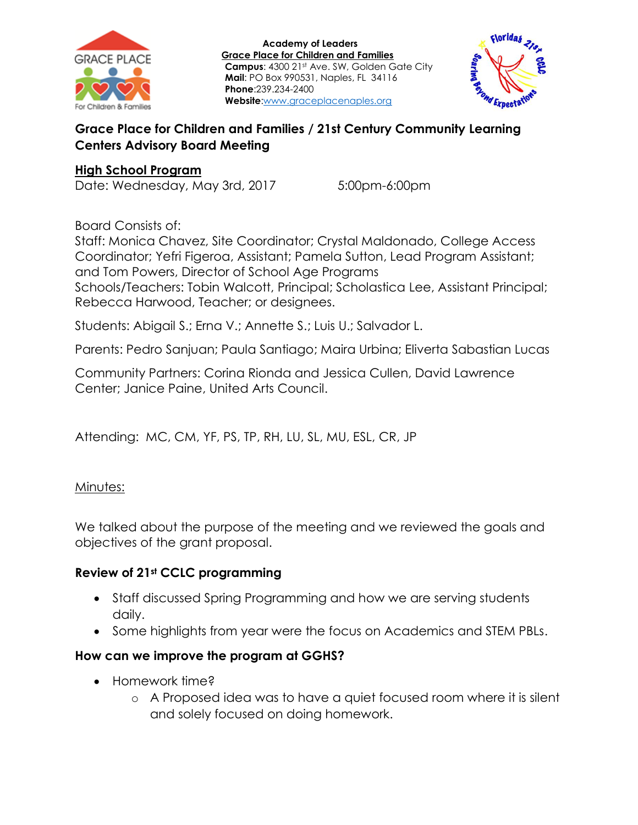



## **Grace Place for Children and Families / 21st Century Community Learning Centers Advisory Board Meeting**

#### **High School Program**

Date: Wednesday, May 3rd, 2017 5:00pm-6:00pm

Board Consists of:

Staff: Monica Chavez, Site Coordinator; Crystal Maldonado, College Access Coordinator; Yefri Figeroa, Assistant; Pamela Sutton, Lead Program Assistant; and Tom Powers, Director of School Age Programs Schools/Teachers: Tobin Walcott, Principal; Scholastica Lee, Assistant Principal; Rebecca Harwood, Teacher; or designees.

Students: Abigail S.; Erna V.; Annette S.; Luis U.; Salvador L.

Parents: Pedro Sanjuan; Paula Santiago; Maira Urbina; Eliverta Sabastian Lucas

Community Partners: Corina Rionda and Jessica Cullen, David Lawrence Center; Janice Paine, United Arts Council.

Attending: MC, CM, YF, PS, TP, RH, LU, SL, MU, ESL, CR, JP

Minutes:

We talked about the purpose of the meeting and we reviewed the goals and objectives of the grant proposal.

## **Review of 21st CCLC programming**

- Staff discussed Spring Programming and how we are serving students daily.
- Some highlights from year were the focus on Academics and STEM PBLs.

#### **How can we improve the program at GGHS?**

- Homework time?
	- o A Proposed idea was to have a quiet focused room where it is silent and solely focused on doing homework.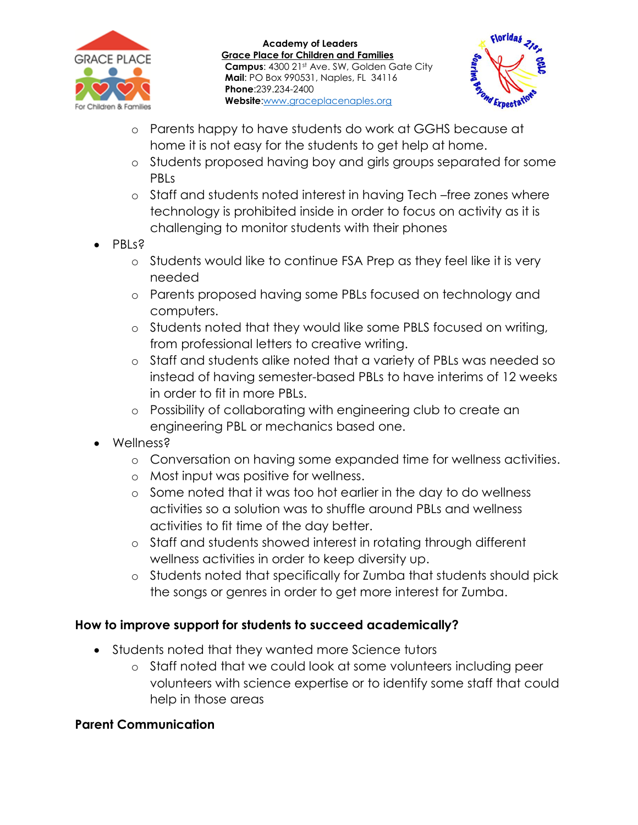



- o Parents happy to have students do work at GGHS because at home it is not easy for the students to get help at home.
- o Students proposed having boy and girls groups separated for some PBLs
- o Staff and students noted interest in having Tech –free zones where technology is prohibited inside in order to focus on activity as it is challenging to monitor students with their phones
- PBLs?
	- o Students would like to continue FSA Prep as they feel like it is very needed
	- o Parents proposed having some PBLs focused on technology and computers.
	- o Students noted that they would like some PBLS focused on writing, from professional letters to creative writing.
	- o Staff and students alike noted that a variety of PBLs was needed so instead of having semester-based PBLs to have interims of 12 weeks in order to fit in more PBLs.
	- o Possibility of collaborating with engineering club to create an engineering PBL or mechanics based one.
- Wellness?
	- o Conversation on having some expanded time for wellness activities.
	- o Most input was positive for wellness.
	- o Some noted that it was too hot earlier in the day to do wellness activities so a solution was to shuffle around PBLs and wellness activities to fit time of the day better.
	- o Staff and students showed interest in rotating through different wellness activities in order to keep diversity up.
	- o Students noted that specifically for Zumba that students should pick the songs or genres in order to get more interest for Zumba.

## **How to improve support for students to succeed academically?**

- Students noted that they wanted more Science tutors
	- o Staff noted that we could look at some volunteers including peer volunteers with science expertise or to identify some staff that could help in those areas

## **Parent Communication**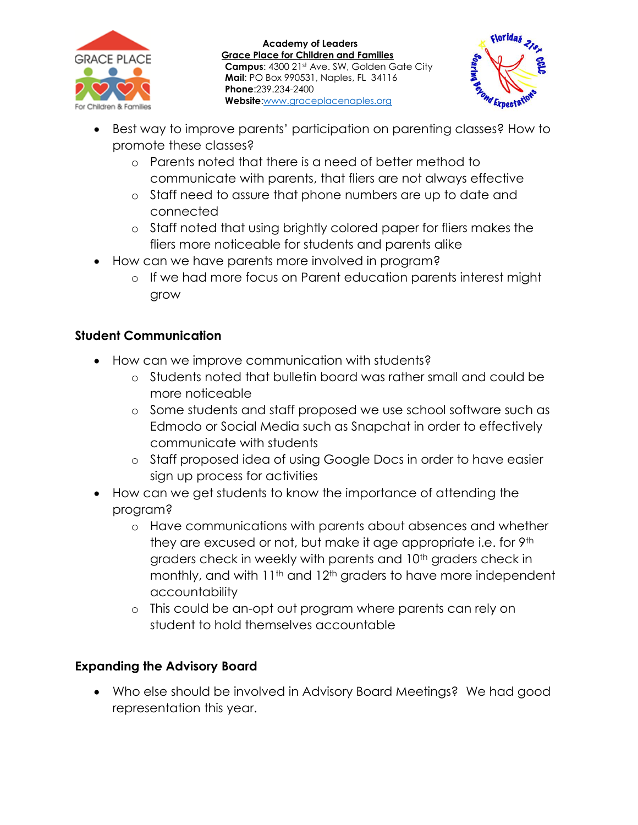



- Best way to improve parents' participation on parenting classes? How to promote these classes?
	- o Parents noted that there is a need of better method to communicate with parents, that fliers are not always effective
	- o Staff need to assure that phone numbers are up to date and connected
	- o Staff noted that using brightly colored paper for fliers makes the fliers more noticeable for students and parents alike
- How can we have parents more involved in program?
	- o If we had more focus on Parent education parents interest might grow

# **Student Communication**

- How can we improve communication with students?
	- o Students noted that bulletin board was rather small and could be more noticeable
	- o Some students and staff proposed we use school software such as Edmodo or Social Media such as Snapchat in order to effectively communicate with students
	- o Staff proposed idea of using Google Docs in order to have easier sign up process for activities
- How can we get students to know the importance of attending the program?
	- o Have communications with parents about absences and whether they are excused or not, but make it age appropriate i.e. for 9th graders check in weekly with parents and 10<sup>th</sup> graders check in monthly, and with 11<sup>th</sup> and 12<sup>th</sup> graders to have more independent accountability
	- o This could be an-opt out program where parents can rely on student to hold themselves accountable

## **Expanding the Advisory Board**

 Who else should be involved in Advisory Board Meetings? We had good representation this year.